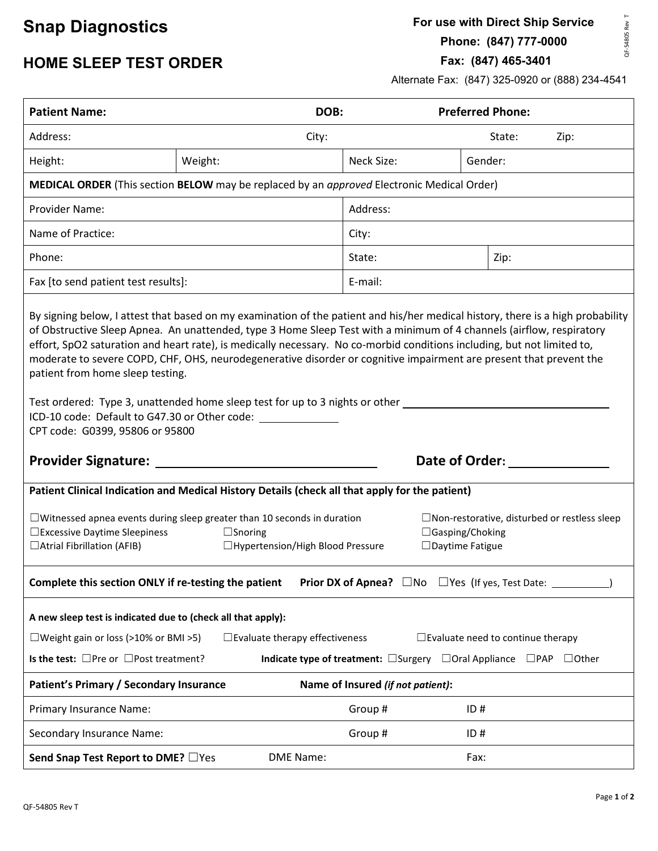#### **Snap Diagnostics**

**For use with Direct Ship Service Phone: (847) 777-0000**

QF-54805 Rev T QF-54805 Rev T

**Fax: (847) 465-3401** 

#### **HOME SLEEP TEST ORDER**

Alternate Fax: (847) 325-0920 or (888) 234-4541

| <b>Patient Name:</b>                                                                                                                                                                                                                                                                                                                                                                                                                                                                                                                                                                                                                               |                                          | DOB:                                                                                           | <b>Preferred Phone:</b> |                                          |  |
|----------------------------------------------------------------------------------------------------------------------------------------------------------------------------------------------------------------------------------------------------------------------------------------------------------------------------------------------------------------------------------------------------------------------------------------------------------------------------------------------------------------------------------------------------------------------------------------------------------------------------------------------------|------------------------------------------|------------------------------------------------------------------------------------------------|-------------------------|------------------------------------------|--|
| Address:                                                                                                                                                                                                                                                                                                                                                                                                                                                                                                                                                                                                                                           |                                          | City:                                                                                          |                         | State:<br>Zip:                           |  |
| Height:                                                                                                                                                                                                                                                                                                                                                                                                                                                                                                                                                                                                                                            | Weight:                                  | Neck Size:                                                                                     | Gender:                 |                                          |  |
| MEDICAL ORDER (This section BELOW may be replaced by an approved Electronic Medical Order)                                                                                                                                                                                                                                                                                                                                                                                                                                                                                                                                                         |                                          |                                                                                                |                         |                                          |  |
| Provider Name:                                                                                                                                                                                                                                                                                                                                                                                                                                                                                                                                                                                                                                     |                                          | Address:                                                                                       |                         |                                          |  |
| Name of Practice:                                                                                                                                                                                                                                                                                                                                                                                                                                                                                                                                                                                                                                  |                                          | City:                                                                                          |                         |                                          |  |
| Phone:                                                                                                                                                                                                                                                                                                                                                                                                                                                                                                                                                                                                                                             |                                          | State:                                                                                         |                         | Zip:                                     |  |
| Fax [to send patient test results]:                                                                                                                                                                                                                                                                                                                                                                                                                                                                                                                                                                                                                |                                          | E-mail:                                                                                        |                         |                                          |  |
| of Obstructive Sleep Apnea. An unattended, type 3 Home Sleep Test with a minimum of 4 channels (airflow, respiratory<br>effort, SpO2 saturation and heart rate), is medically necessary. No co-morbid conditions including, but not limited to,<br>moderate to severe COPD, CHF, OHS, neurodegenerative disorder or cognitive impairment are present that prevent the<br>patient from home sleep testing.<br>Test ordered: Type 3, unattended home sleep test for up to 3 nights or other ____<br>ICD-10 code: Default to G47.30 or Other code: _______________<br>CPT code: G0399, 95806 or 95800<br>Date of Order:<br><b>Provider Signature:</b> |                                          |                                                                                                |                         |                                          |  |
| Patient Clinical Indication and Medical History Details (check all that apply for the patient)                                                                                                                                                                                                                                                                                                                                                                                                                                                                                                                                                     |                                          |                                                                                                |                         |                                          |  |
| $\Box$ Witnessed apnea events during sleep greater than 10 seconds in duration<br>□ Excessive Daytime Sleepiness<br>□ Atrial Fibrillation (AFIB)                                                                                                                                                                                                                                                                                                                                                                                                                                                                                                   | □ Hypertension/High Blood Pressure       | $\square$ Non-restorative, disturbed or restless sleep<br>□Gasping/Choking<br>□Daytime Fatigue |                         |                                          |  |
| <b>Prior DX of Apnea?</b> $\Box$ No $\Box$ Yes (If yes, Test Date: _<br>Complete this section ONLY if re-testing the patient                                                                                                                                                                                                                                                                                                                                                                                                                                                                                                                       |                                          |                                                                                                |                         |                                          |  |
| A new sleep test is indicated due to (check all that apply):                                                                                                                                                                                                                                                                                                                                                                                                                                                                                                                                                                                       |                                          |                                                                                                |                         |                                          |  |
| □ Weight gain or loss (>10% or BMI >5)                                                                                                                                                                                                                                                                                                                                                                                                                                                                                                                                                                                                             | $\square$ Evaluate therapy effectiveness |                                                                                                |                         | $\Box$ Evaluate need to continue therapy |  |
| Is the test: $\Box$ Pre or $\Box$ Post treatment?<br>Indicate type of treatment: $\Box$ Surgery $\Box$ Oral Appliance $\Box$ PAP<br>$\Box$ Other                                                                                                                                                                                                                                                                                                                                                                                                                                                                                                   |                                          |                                                                                                |                         |                                          |  |
| Patient's Primary / Secondary Insurance<br>Name of Insured (if not patient):                                                                                                                                                                                                                                                                                                                                                                                                                                                                                                                                                                       |                                          |                                                                                                |                         |                                          |  |
| Primary Insurance Name:                                                                                                                                                                                                                                                                                                                                                                                                                                                                                                                                                                                                                            |                                          | Group#                                                                                         | ID#                     |                                          |  |
| Secondary Insurance Name:                                                                                                                                                                                                                                                                                                                                                                                                                                                                                                                                                                                                                          |                                          | Group #                                                                                        | ID#                     |                                          |  |
| Send Snap Test Report to DME? □ Yes<br>DME Name:<br>Fax:                                                                                                                                                                                                                                                                                                                                                                                                                                                                                                                                                                                           |                                          |                                                                                                |                         |                                          |  |